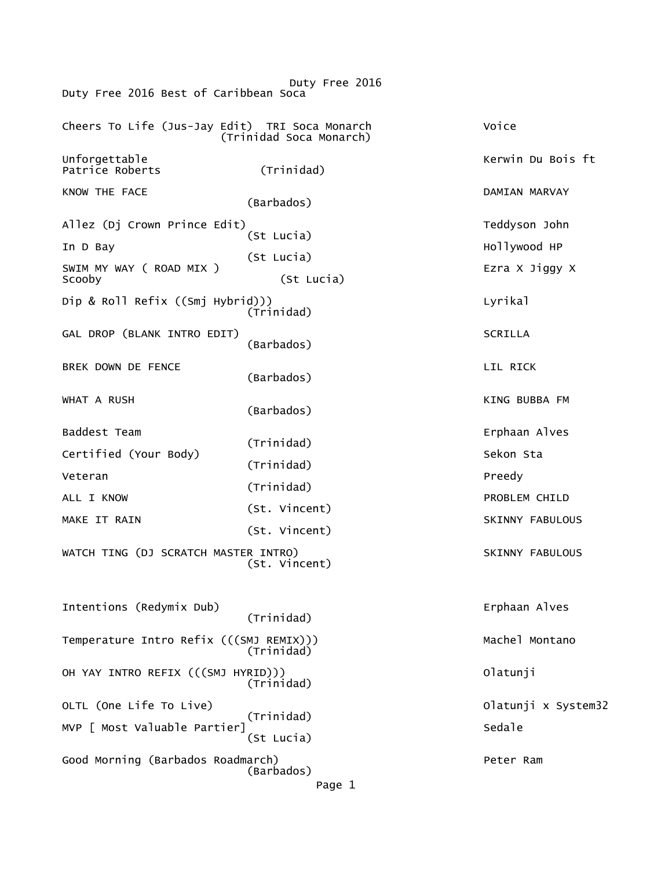Duty Free 2016 Duty Free 2016 Best of Caribbean Soca Cheers To Life (Jus-Jay Edit) TRI Soca Monarch Voice (Trinidad Soca Monarch) Unforgettable Kerwin Du Bois ft Patrice Roberts KNOW THE FACE **EXECUTE IN THE SECOND CONTRACT CONTRACT AND ASSESS**  (Barbados) Allez (Dj Crown Prince Edit) and the control of the Teddyson John Teddyson John Teddyson John Teddyson John Teddyson John Teddyson John Teddyson John Teddyson John Teddyson John Teddyson John Teddyson John Teddyson John Te In D Bay (St Lucia) Hollywood HP (St Lucia) SWIM MY WAY ( ROAD MIX ) EZRA X Jiggy X Scooby (St Lucia) Dip & Roll Refix ((Smj Hybrid))) Lyrikal (Trinidad) GAL DROP (BLANK INTRO EDIT) SCRILLA (Barbados) BREK DOWN DE FENCE VERSION OF LIL RICK AND LIL RICK (Barbados) WHAT A RUSH KING BUBBA FM (Barbados) Baddest Team Erphaan Alves (Trinidad) Certified (Your Body) Sekon Sta (Trinidad) Veteran Preedy ALL I KNOW (Trinidad) PROBLEM CHILD MAKE IT RAIN (St. Vincent) SKINNY FABULOUS (St. Vincent) WATCH TING (DJ SCRATCH MASTER INTRO) SKINNY FABULOUS (St. Vincent) Intentions (Redymix Dub) Erphaan Alves (Trinidad) Temperature Intro Refix (((SMJ REMIX))) Machel Montano (Trinidad) OH YAY INTRO REFIX (((SMJ HYRID))) Olatunji (Trinidad) OLTL (One Life To Live) Olatunji x System32 (Trinidad) MVP [ Most Valuable Partier] Sedale (St Lucia) Good Morning (Barbados Roadmarch) Peter Ram (Barbados) Page 1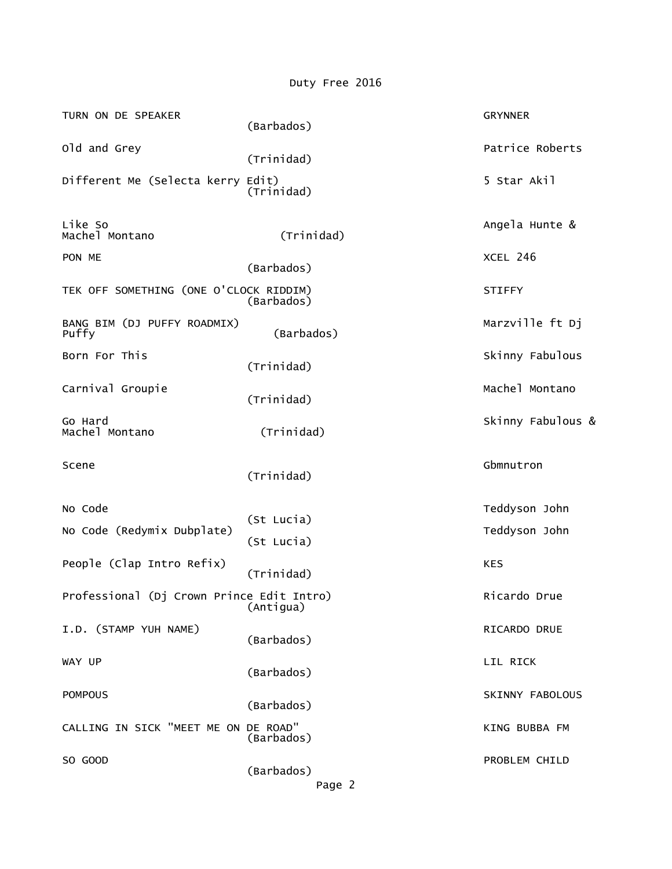Duty Free 2016

| TURN ON DE SPEAKER                        | (Barbados)               | <b>GRYNNER</b>    |
|-------------------------------------------|--------------------------|-------------------|
| Old and Grey                              | (Trinidad)               | Patrice Roberts   |
| Different Me (Selecta kerry Edit)         | (Trinidad)               | 5 Star Akil       |
| Like So<br>Machel Montano                 | (Trinidad)               | Angela Hunte &    |
| PON ME                                    | (Barbados)               | XCEL 246          |
| TEK OFF SOMETHING (ONE O'CLOCK RIDDIM)    | (Barbados)               | <b>STIFFY</b>     |
| BANG BIM (DJ PUFFY ROADMIX)<br>Puffy      | (Barbados)               | Marzville ft Dj   |
| Born For This                             | (Trinidad)               | Skinny Fabulous   |
| Carnival Groupie                          | (Trinidad)               | Machel Montano    |
| Go Hard<br>Machel Montano                 | (Trinidad)               | Skinny Fabulous & |
|                                           |                          |                   |
| Scene                                     | (Trinidad)               | Gbmnutron         |
| No Code                                   |                          | Teddyson John     |
| No Code (Redymix Dubplate)                | (St Lucia)<br>(St Lucia) | Teddyson John     |
| People (Clap Intro Refix)                 | (Trinidad)               | <b>KES</b>        |
| Professional (Dj Crown Prince Edit Intro) | (Antigua)                | Ricardo Drue      |
| I.D. (STAMP YUH NAME)                     | (Barbados)               | RICARDO DRUE      |
| WAY UP                                    | (Barbados)               | LIL RICK          |
| <b>POMPOUS</b>                            | (Barbados)               | SKINNY FABOLOUS   |
| CALLING IN SICK "MEET ME ON DE ROAD"      | (Barbados)               | KING BUBBA FM     |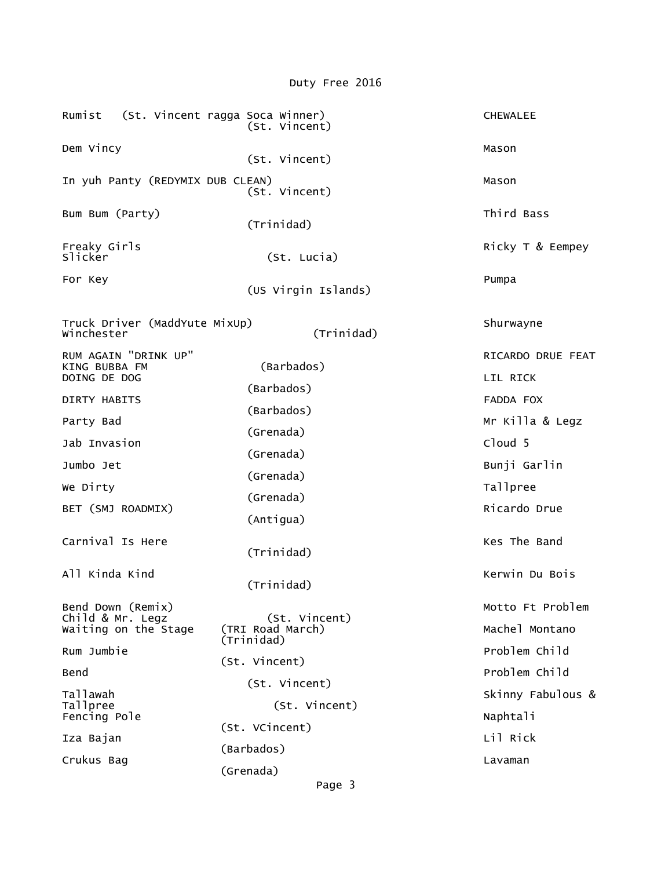Rumist (St. Vincent ragga Soca Winner) CHEWALEE (St. Vincent) Dem Vincy Mason (1999) 2008 12:00 Mason (1999) 2008 2014 12:00 Mason (1999) 2008 2014 (St. Vincent) In yuh Panty (REDYMIX DUB CLEAN) Mason (St. Vincent) Bum Bum (Party) **Third Bass**  (Trinidad) Freaky Girls Ricky T & Eempey Slicker (St. Lucia) For Key Pumpa (US Virgin Islands) Truck Driver (MaddYute MixUp) Shurwayne Winchester RUM AGAIN "DRINK UP" RICARDO DRUE FEAT KING BUBBA FM (Barbados) DOING DE DOG LIL RICK (Barbados) DIRTY HABITS FADDA FOX Party Bad (Barbados) Mr Killa & Legz (Grenada) Jab Invasion Cloud 5 (Grenada) Bunji Garlin We Dirty (Grenada) We Dirty Tallpree (Grenada) BET (SMJ ROADMIX) and the state of the state of the state of the state of the state of the state of the state of the state of the state of the state of the state of the state of the state of the state of the state of the s (Antigua) Carnival Is Here **Kes The Band**  (Trinidad) All Kinda Kind Kerwin Du Bois (Kerwin Du Bois Kerwin Du Bois Kerwin Du Bois Kerwin Du Bois Kerwin Du Bois And (Trinidad) Bend Down (Remix)<br>Child & Mr. Legz (St. Vincent) Motto Ft Problem Child & Mr. Legz (St. Vincent) Waiting on the Stage (TRI Road March) Machel Montano Rum Jumbie (Trinidad) Problem Child (St. Vincent) Problem Child (St. Vincent) Tallawah Skinny Fabulous & (St. Vincent) Fencing Pole **Naphtali**  (St. VCincent) Iza Bajan Lil Rick (Barbados) Crukus Bag Lavaman Crukus Bag Lavaman Crukus Bag Lavaman Crukus Bag Lavaman Lavaman Lavaman Lavaman Lavaman La (Grenada)

Duty Free 2016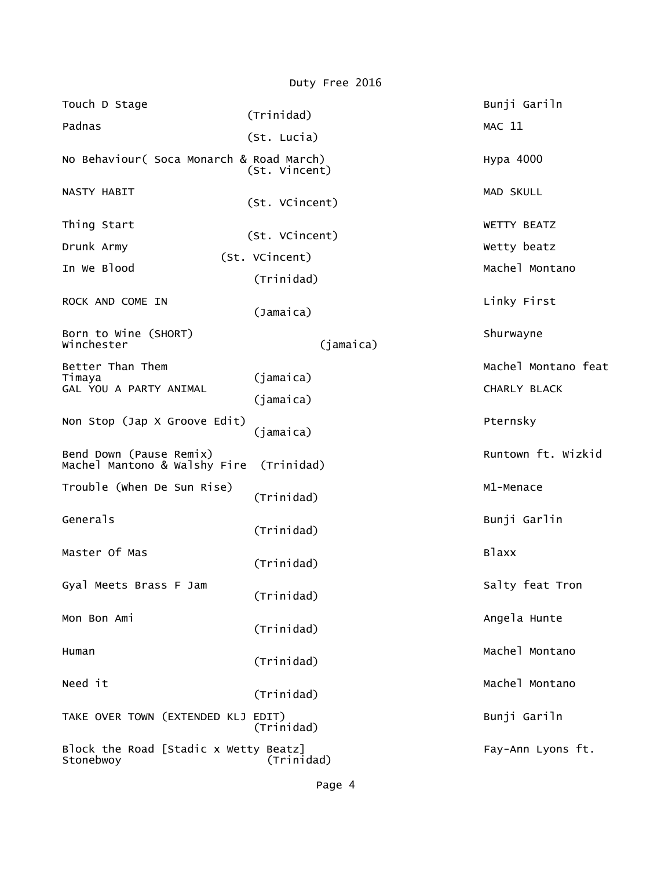|                                                         | Duty Free 2016               |                                     |
|---------------------------------------------------------|------------------------------|-------------------------------------|
| Touch D Stage                                           | (Trinidad)                   | Bunji Gariln                        |
| Padnas                                                  | (St. Lucia)                  | <b>MAC 11</b>                       |
| No Behaviour (Soca Monarch & Road March)                | (St. Vincent)                | Hypa 4000                           |
| NASTY HABIT                                             | (St. VCincent)               | MAD SKULL                           |
| Thing Start                                             |                              | WETTY BEATZ                         |
| Drunk Army                                              | (St. VCincent)               | Wetty beatz                         |
| In We Blood                                             | (St. VCincent)<br>(Trinidad) | Machel Montano                      |
| ROCK AND COME IN                                        | (Jamaica)                    | Linky First                         |
| Born to Wine (SHORT)<br>Winchester                      | (jamaica)                    | Shurwayne                           |
| Better Than Them<br>Timaya<br>GAL YOU A PARTY ANIMAL    | (jamaica)<br>(jamaica)       | Machel Montano feat<br>CHARLY BLACK |
| Non Stop (Jap X Groove Edit)                            | (jamaica)                    | Pternsky                            |
| Bend Down (Pause Remix)<br>Machel Mantono & Walshy Fire | (Trinidad)                   | Runtown ft. Wizkid                  |
| Trouble (when De Sun Rise)                              | (Trinidad)                   | M1-Menace                           |
| Generals                                                | (Trinidad)                   | Bunji Garlin                        |
| Master Of Mas                                           | (Trinidad)                   | <b>Blaxx</b>                        |
| Gyal Meets Brass F Jam                                  | (Trinidad)                   | Salty feat Tron                     |
| Mon Bon Ami                                             | (Trinidad)                   | Angela Hunte                        |
| Human                                                   | (Trinidad)                   | Machel Montano                      |
| Need it                                                 | (Trinidad)                   | Machel Montano                      |
| TAKE OVER TOWN (EXTENDED KLJ EDIT)                      | (Trinidad)                   | Bunji Gariln                        |
| Block the Road [Stadic x Wetty Beatz]<br>Stonebwoy      | (Trinidad)                   | Fay-Ann Lyons ft.                   |